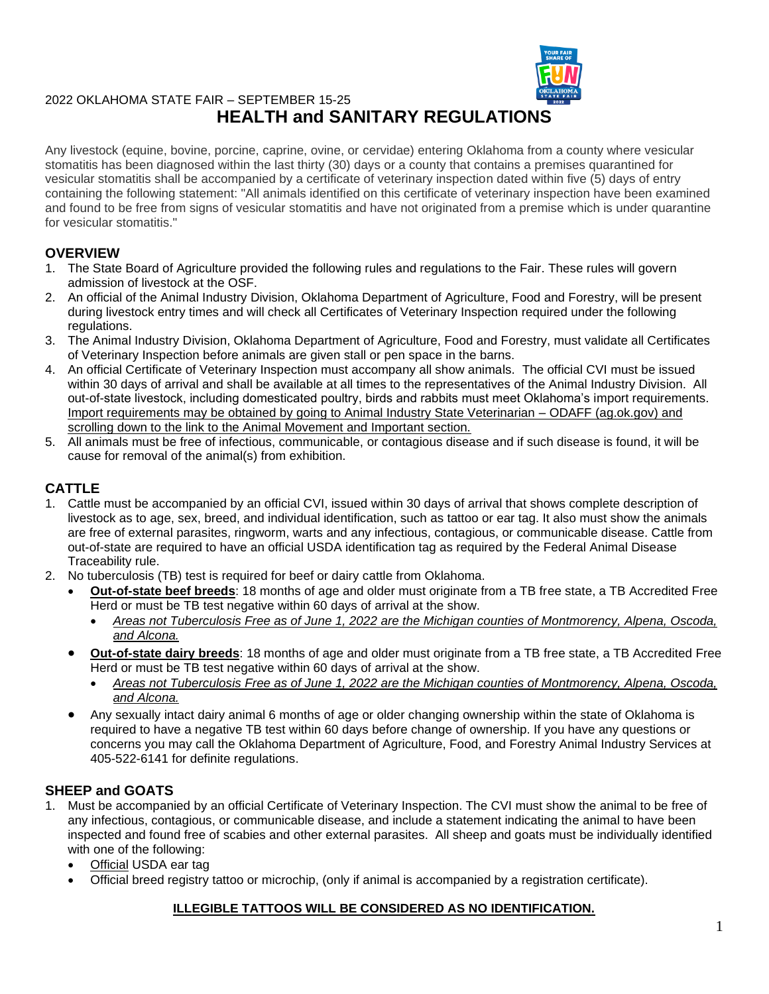

# 2022 OKLAHOMA STATE FAIR – SEPTEMBER 15-25 **HEALTH and SANITARY REGULATIONS**

Any livestock (equine, bovine, porcine, caprine, ovine, or cervidae) entering Oklahoma from a county where vesicular stomatitis has been diagnosed within the last thirty (30) days or a county that contains a premises quarantined for vesicular stomatitis shall be accompanied by a certificate of veterinary inspection dated within five (5) days of entry containing the following statement: "All animals identified on this certificate of veterinary inspection have been examined and found to be free from signs of vesicular stomatitis and have not originated from a premise which is under quarantine for vesicular stomatitis."

### **OVERVIEW**

- 1. The State Board of Agriculture provided the following rules and regulations to the Fair. These rules will govern admission of livestock at the OSF.
- 2. An official of the Animal Industry Division, Oklahoma Department of Agriculture, Food and Forestry, will be present during livestock entry times and will check all Certificates of Veterinary Inspection required under the following regulations.
- 3. The Animal Industry Division, Oklahoma Department of Agriculture, Food and Forestry, must validate all Certificates of Veterinary Inspection before animals are given stall or pen space in the barns.
- 4. An official Certificate of Veterinary Inspection must accompany all show animals. The official CVI must be issued within 30 days of arrival and shall be available at all times to the representatives of the Animal Industry Division. All out-of-state livestock, including domesticated poultry, birds and rabbits must meet Oklahoma's import requirements. Import requirements may be obtained by going to Animal Industry State Veterinarian – ODAFF (ag.ok.gov) and scrolling down to the link to the Animal Movement and Important section.
- 5. All animals must be free of infectious, communicable, or contagious disease and if such disease is found, it will be cause for removal of the animal(s) from exhibition.

## **CATTLE**

- 1. Cattle must be accompanied by an official CVI, issued within 30 days of arrival that shows complete description of livestock as to age, sex, breed, and individual identification, such as tattoo or ear tag. It also must show the animals are free of external parasites, ringworm, warts and any infectious, contagious, or communicable disease. Cattle from out-of-state are required to have an official USDA identification tag as required by the Federal Animal Disease Traceability rule.
- 2. No tuberculosis (TB) test is required for beef or dairy cattle from Oklahoma.
	- **Out-of-state beef breeds**: 18 months of age and older must originate from a TB free state, a TB Accredited Free Herd or must be TB test negative within 60 days of arrival at the show.
		- *Areas not Tuberculosis Free as of June 1, 2022 are the Michigan counties of Montmorency, Alpena, Oscoda, and Alcona.*
	- **Out-of-state dairy breeds**: 18 months of age and older must originate from a TB free state, a TB Accredited Free Herd or must be TB test negative within 60 days of arrival at the show.
		- *Areas not Tuberculosis Free as of June 1, 2022 are the Michigan counties of Montmorency, Alpena, Oscoda, and Alcona.*
	- Any sexually intact dairy animal 6 months of age or older changing ownership within the state of Oklahoma is required to have a negative TB test within 60 days before change of ownership. If you have any questions or concerns you may call the Oklahoma Department of Agriculture, Food, and Forestry Animal Industry Services at 405-522-6141 for definite regulations.

### **SHEEP and GOATS**

- 1. Must be accompanied by an official Certificate of Veterinary Inspection. The CVI must show the animal to be free of any infectious, contagious, or communicable disease, and include a statement indicating the animal to have been inspected and found free of scabies and other external parasites. All sheep and goats must be individually identified with one of the following:
	- Official USDA ear tag
	- Official breed registry tattoo or microchip, (only if animal is accompanied by a registration certificate).

### **ILLEGIBLE TATTOOS WILL BE CONSIDERED AS NO IDENTIFICATION.**